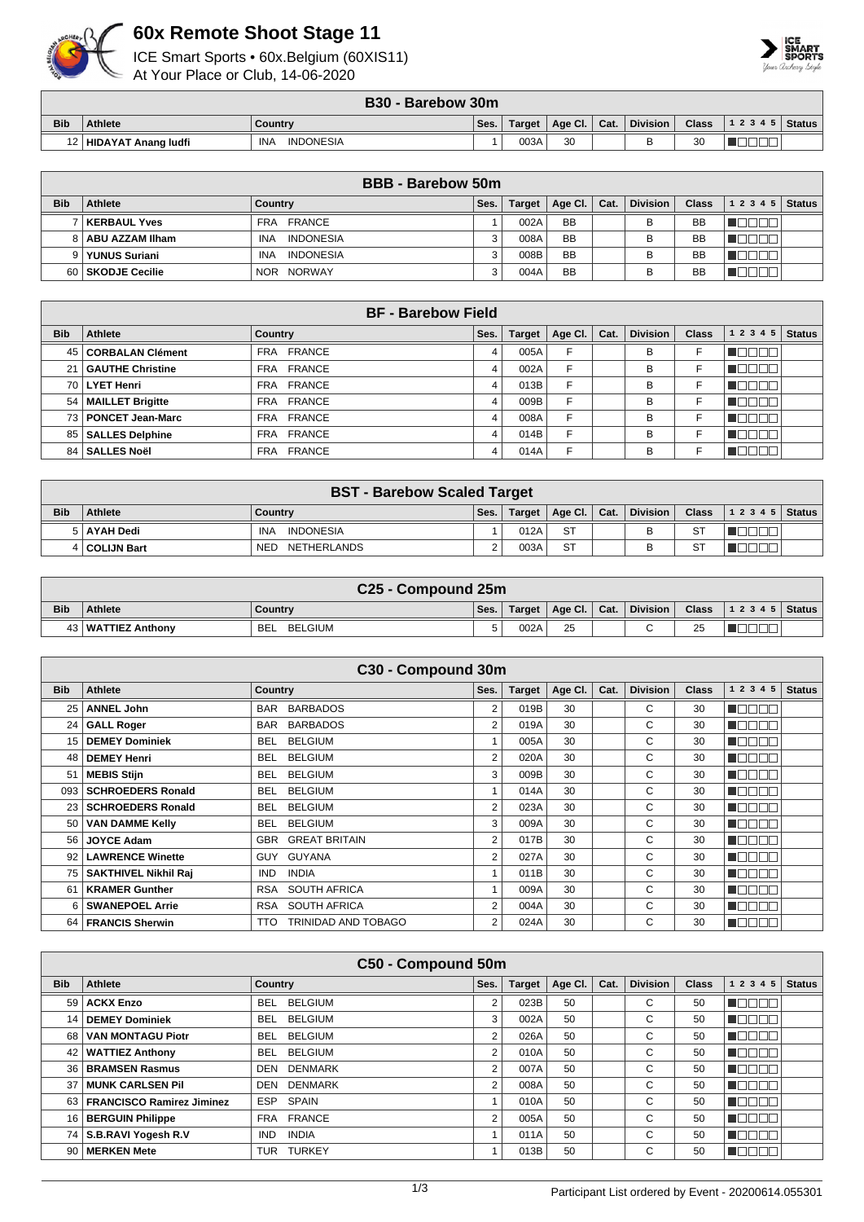

## **60x Remote Shoot Stage 11**

ICE Smart Sports • 60x.Belgium (60XIS11)



| ICE SINGH SPOILS • 00X.BEIGIUM (00XISTT) |  |
|------------------------------------------|--|
| At Your Place or Club, 14-06-2020        |  |

|            | B30 - Barebow 30m        |                         |      |               |                         |      |                 |              |       |        |  |
|------------|--------------------------|-------------------------|------|---------------|-------------------------|------|-----------------|--------------|-------|--------|--|
| <b>Bib</b> | <b>Athlete</b>           | Country                 | Ses. | <b>Target</b> | $\overline{A}$ Age Cl., | Cat. | <b>Division</b> | <b>Class</b> | 12345 | Status |  |
|            | 12   HIDAYAT Anang ludfi | <b>INDONESIA</b><br>INA |      | 003A          | 30                      |      |                 | 30           |       |        |  |

| <b>BBB</b> - Barebow 50m |                     |                                |      |               |             |      |                 |              |           |               |  |
|--------------------------|---------------------|--------------------------------|------|---------------|-------------|------|-----------------|--------------|-----------|---------------|--|
| <b>Bib</b>               | Athlete             | Country                        | Ses. | <b>Target</b> | Age Cl. $ $ | Cat. | <b>Division</b> | <b>Class</b> | 1 2 3 4 5 | <b>Status</b> |  |
|                          | <b>KERBAUL Yves</b> | FRA FRANCE                     |      | 002A          | <b>BB</b>   |      |                 | <b>BB</b>    |           |               |  |
|                          | 8   ABU AZZAM Ilham | <b>INDONESIA</b><br><b>INA</b> |      | 008A          | <b>BB</b>   |      |                 | <b>BB</b>    |           |               |  |
|                          | 9 YUNUS Suriani     | <b>INDONESIA</b><br><b>INA</b> |      | 008B          | <b>BB</b>   |      |                 | <b>BB</b>    |           |               |  |
|                          | 60   SKODJE Cecilie | <b>NORWAY</b><br><b>NOR</b>    |      | 004A          | <b>BB</b>   |      |                 | BB           |           |               |  |

| <b>BF</b> - Barebow Field |                         |            |      |               |         |      |                 |              |           |               |  |
|---------------------------|-------------------------|------------|------|---------------|---------|------|-----------------|--------------|-----------|---------------|--|
| <b>Bib</b>                | Athlete                 | Country    | Ses. | <b>Target</b> | Age Cl. | Cat. | <b>Division</b> | <b>Class</b> | 1 2 3 4 5 | <b>Status</b> |  |
| 45                        | <b>CORBALAN Clément</b> | FRA FRANCE | 4    | 005A          | F       |      | B               |              |           |               |  |
| 21                        | <b>GAUTHE Christine</b> | FRA FRANCE | 4    | 002A          | F       |      | B               |              |           |               |  |
|                           | 70 LYET Henri           | FRA FRANCE | 4    | 013B          | F       |      | B               |              |           |               |  |
| 54 <sub>1</sub>           | MAILLET Brigitte        | FRA FRANCE | 4    | 009B          | F       |      | B               |              |           |               |  |
|                           | 73   PONCET Jean-Marc   | FRA FRANCE | 4    | 008A          | F       |      | B               |              |           |               |  |
|                           | 85   SALLES Delphine    | FRA FRANCE | 4    | 014B          | F       |      | B               |              |           |               |  |
|                           | 84   SALLES Noël        | FRA FRANCE | 4    | 014A          | F       |      | B               |              |           |               |  |

| <b>BST - Barebow Scaled Target</b> |                 |                                |      |        |                |  |                 |              |                    |  |
|------------------------------------|-----------------|--------------------------------|------|--------|----------------|--|-----------------|--------------|--------------------|--|
| <b>Bib</b>                         | <b>Athlete</b>  | Country                        | Ses. | Target | Age Cl.   Cat. |  | <b>Division</b> | <b>Class</b> | 1 2 3 4 5   Status |  |
|                                    | 5   AYAH Dedi   | <b>INDONESIA</b><br><b>INA</b> |      | 012A   | <b>ST</b>      |  | в               | ST           |                    |  |
|                                    | 4   COLIJN Bart | NETHERLANDS<br><b>NED</b>      |      | 003A   | <b>ST</b>      |  | В               | <b>ST</b>    |                    |  |

|            | C <sub>25</sub> - Compound 25m |                       |      |        |                              |  |          |    |                                                |  |  |
|------------|--------------------------------|-----------------------|------|--------|------------------------------|--|----------|----|------------------------------------------------|--|--|
| <b>Bib</b> | Athlete                        | Country               | Ses. | Target | $\vert$ Age Cl. $\vert$ Cat. |  | Division |    | Class $\vert$ 1 2 3 4 5 $\vert$ Status $\vert$ |  |  |
| 43         | WATTIEZ Anthony                | BELGIUM<br><b>BEL</b> |      | 002A   | 25                           |  |          | 25 |                                                |  |  |

| C30 - Compound 30m |                             |                                          |                |               |         |      |                 |              |                    |               |  |
|--------------------|-----------------------------|------------------------------------------|----------------|---------------|---------|------|-----------------|--------------|--------------------|---------------|--|
| <b>Bib</b>         | <b>Athlete</b>              | Country                                  | Ses.           | <b>Target</b> | Age Cl. | Cat. | <b>Division</b> | <b>Class</b> | 1 2 3 4 5          | <b>Status</b> |  |
| 25                 | <b>ANNEL John</b>           | <b>BARBADOS</b><br><b>BAR</b>            | 2              | 019B          | 30      |      | C               | 30           | N E E E E          |               |  |
| 24 I               | <b>GALL Roger</b>           | <b>BARBADOS</b><br><b>BAR</b>            | $\overline{2}$ | 019A          | 30      |      | C               | 30           | n aan a            |               |  |
| 15                 | <b>DEMEY Dominiek</b>       | <b>BELGIUM</b><br>BEL.                   |                | 005A          | 30      |      | C               | 30           | <u>E E E E E E</u> |               |  |
| 48 I               | <b>DEMEY Henri</b>          | <b>BELGIUM</b><br>BEL.                   | $\overline{2}$ | 020A          | 30      |      | C               | 30           | N E E E E          |               |  |
| 51                 | <b>MEBIS Stijn</b>          | <b>BELGIUM</b><br>BEL                    | 3              | 009B          | 30      |      | C               | 30           | n Booo             |               |  |
| 0931               | <b>SCHROEDERS Ronald</b>    | <b>BELGIUM</b><br>BEL.                   |                | 014A          | 30      |      | C               | 30           | n aan a            |               |  |
| 231                | <b>SCHROEDERS Ronald</b>    | <b>BELGIUM</b><br>BEL.                   | $\overline{2}$ | 023A          | 30      |      | C               | 30           | na mana            |               |  |
|                    | 50   VAN DAMME Kelly        | <b>BELGIUM</b><br>BEL                    | 3              | 009A          | 30      |      | C               | 30           | Maaaa              |               |  |
| 56 I               | <b>JOYCE Adam</b>           | <b>GBR GREAT BRITAIN</b>                 | $\overline{2}$ | 017B          | 30      |      | C               | 30           | n Belek            |               |  |
|                    | 92   LAWRENCE Winette       | GUY GUYANA                               | $\overline{2}$ | 027A          | 30      |      | C               | 30           | MAN DA             |               |  |
| 75 I               | <b>SAKTHIVEL Nikhil Raj</b> | <b>INDIA</b><br><b>IND</b>               |                | 011B          | 30      |      | C               | 30           | n Beleid           |               |  |
| 61 L               | <b>KRAMER Gunther</b>       | RSA SOUTH AFRICA                         |                | 009A          | 30      |      | C               | 30           | n de se            |               |  |
| 6                  | <b>SWANEPOEL Arrie</b>      | <b>SOUTH AFRICA</b><br><b>RSA</b>        | 2              | 004A          | 30      |      | C               | 30           | n Booo             |               |  |
|                    | 64   FRANCIS Sherwin        | <b>TRINIDAD AND TOBAGO</b><br><b>TTO</b> | $\overline{2}$ | 024A          | 30      |      | C               | 30           | n aan a            |               |  |

| C50 - Compound 50m |                                |                              |                |        |         |      |                 |              |                  |               |  |
|--------------------|--------------------------------|------------------------------|----------------|--------|---------|------|-----------------|--------------|------------------|---------------|--|
| <b>Bib</b>         | <b>Athlete</b>                 | Country                      | Ses.           | Target | Age Cl. | Cat. | <b>Division</b> | <b>Class</b> | 1 2 3 4 5        | <b>Status</b> |  |
| 59                 | <b>ACKX Enzo</b>               | <b>BELGIUM</b><br><b>BEL</b> | 2              | 023B   | 50      |      | C               | 50           | <b>VEEDE</b> .   |               |  |
| 14 l               | <b>DEMEY Dominiek</b>          | <b>BELGIUM</b><br><b>BEL</b> | 3              | 002A   | 50      |      | C               | 50           | 70 D             |               |  |
| 68 I               | <b>VAN MONTAGU Piotr</b>       | <b>BELGIUM</b><br><b>BEL</b> | 2              | 026A   | 50      |      | C               | 50           | TA TATIT         |               |  |
|                    | 42   WATTIEZ Anthony           | <b>BELGIUM</b><br><b>BEL</b> | 2              | 010A   | 50      |      | C               | 50           | TEEN             |               |  |
|                    | 36   BRAMSEN Rasmus            | <b>DENMARK</b><br>DEN        | $\overline{2}$ | 007A   | 50      |      | C               | 50           | <b>UNDARI</b>    |               |  |
| 37                 | <b>MUNK CARLSEN Pil</b>        | <b>DENMARK</b><br>DEN        | $\overline{2}$ | 008A   | 50      |      | C               | 50           | TOOOO            |               |  |
|                    | 63   FRANCISCO Ramirez Jiminez | <b>ESP</b><br>SPAIN          |                | 010A   | 50      |      | C               | 50           | manan s          |               |  |
|                    | 16   BERGUIN Philippe          | <b>FRANCE</b><br><b>FRA</b>  | $\overline{2}$ | 005A   | 50      |      | C               | 50           | n na man         |               |  |
|                    | 74   S.B.RAVI Yogesh R.V       | <b>INDIA</b><br><b>IND</b>   |                | 011A   | 50      |      | С               | 50           | <u>E FIFIFIT</u> |               |  |
|                    | 90   MERKEN Mete               | <b>TURKEY</b><br><b>TUR</b>  |                | 013B   | 50      |      | $\sim$<br>U     | 50           | n aan a          |               |  |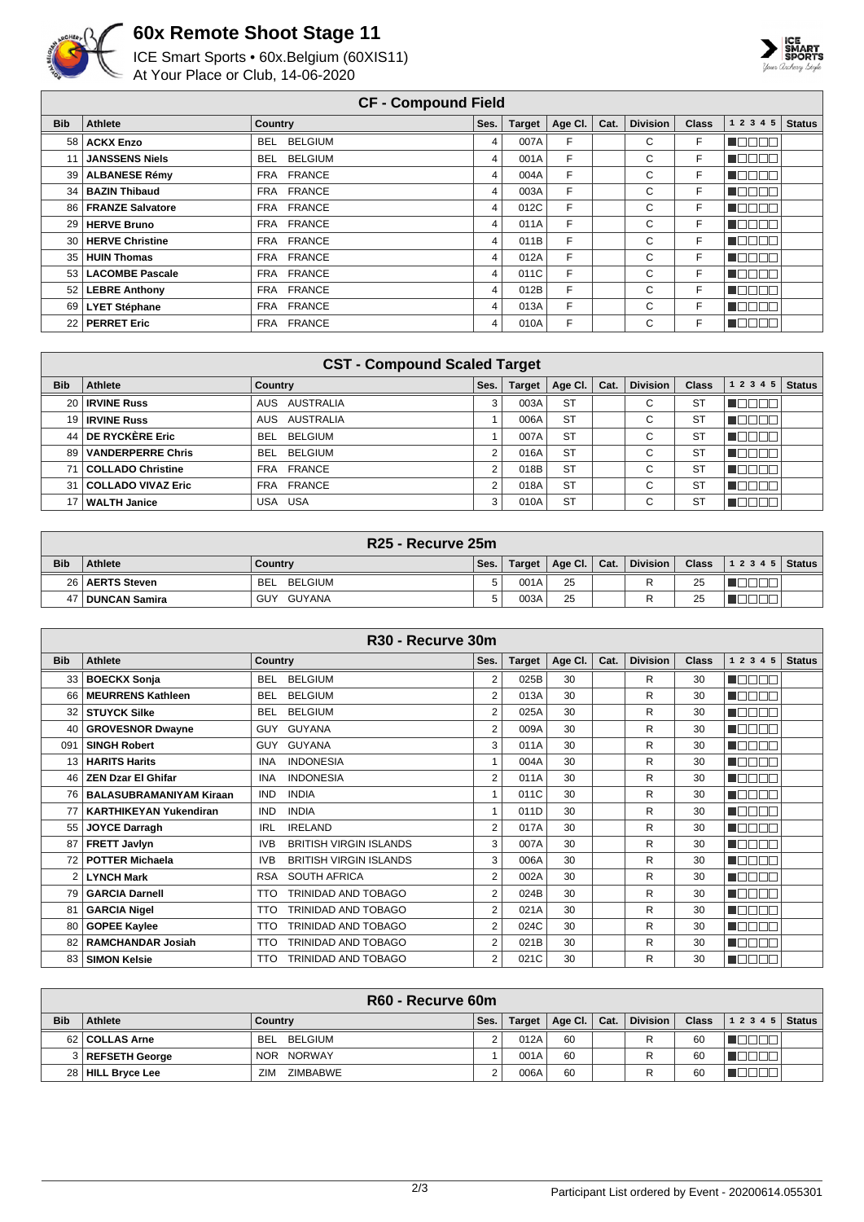

## **60x Remote Shoot Stage 11**

ICE Smart Sports • 60x.Belgium (60XIS11) At Your Place or Club, 14-06-2020



## **CF - Compound Field**

| <b>Bib</b> | Athlete               | Country                      | Ses. | <b>Target</b> | Age Cl. | Cat. | <b>Division</b> | <b>Class</b> | 1 2 3 4 5 | <b>Status</b> |
|------------|-----------------------|------------------------------|------|---------------|---------|------|-----------------|--------------|-----------|---------------|
|            | 58   ACKX Enzo        | <b>BELGIUM</b><br><b>BEL</b> | 4    | 007A          | F       |      | C               | F            |           |               |
| 11         | <b>JANSSENS Niels</b> | BEL BELGIUM                  | 4    | 001A          | F       |      | С               | F            |           |               |
|            | 39   ALBANESE Rémy    | FRA FRANCE                   | 4    | 004A          | F       |      | C               | F            |           |               |
|            | 34   BAZIN Thibaud    | FRA FRANCE                   | 4    | 003A          | F       |      | C               | F            |           |               |
|            | 86   FRANZE Salvatore | FRA FRANCE                   | 4    | 012C          | F       |      | C               | F            |           |               |
|            | 29   HERVE Bruno      | FRA FRANCE                   | 4    | 011A          | F       |      | C               | F            | i de de   |               |
|            | 30   HERVE Christine  | FRANCE<br>FRA                | 4    | 011B          | F       |      | C               | F            |           |               |
|            | 35 HUIN Thomas        | FRA FRANCE                   | 4    | 012A          | F       |      | C               | F            |           |               |
|            | 53   LACOMBE Pascale  | FRA FRANCE                   | 4    | 011C          | F       |      | C               | F            | VEEE      |               |
|            | 52   LEBRE Anthony    | FRA FRANCE                   | 4    | 012B          | F       |      | C               | F            | U DO O O  |               |
|            | 69   LYET Stéphane    | FRA FRANCE                   | 4    | 013A          | F       |      | С               | F            | TE E E E  |               |
|            | 22 PERRET Eric        | FRA FRANCE                   | 4    | 010A          | F       |      | C               | F            |           |               |

| <b>CST - Compound Scaled Target</b> |                          |                             |                |               |           |      |                 |              |              |               |  |
|-------------------------------------|--------------------------|-----------------------------|----------------|---------------|-----------|------|-----------------|--------------|--------------|---------------|--|
| <b>Bib</b>                          | <b>Athlete</b>           | Country                     | Ses.           | <b>Target</b> | Age Cl.   | Cat. | <b>Division</b> | <b>Class</b> | 1 2 3 4 5    | <b>Status</b> |  |
|                                     | 20   IRVINE Russ         | AUS AUSTRALIA               | 3              | 003A          | <b>ST</b> |      | $\sim$<br>U     | ST           | <b>TELER</b> |               |  |
|                                     | 19   IRVINE Russ         | AUS AUSTRALIA               |                | 006A          | <b>ST</b> |      | ⌒<br>◡          | ST           | un nom       |               |  |
|                                     | 44   DE RYCKÈRE Eric     | BEL.<br>BELGIUM             |                | 007A          | <b>ST</b> |      | $\sim$<br>U     | ST           | <b>NODEN</b> |               |  |
| 89 I                                | <b>VANDERPERRE Chris</b> | BELGIUM<br><b>BEL</b>       | 2              | 016A          | <b>ST</b> |      | $\sim$<br>U     | ST           | TE E E E     |               |  |
|                                     | COLLADO Christine        | <b>FRANCE</b><br><b>FRA</b> | $\overline{2}$ | 018B          | <b>ST</b> |      | $\sim$<br>U     | <b>ST</b>    | TEEE         |               |  |
| 31                                  | COLLADO VIVAZ Eric       | FRA FRANCE                  | $\overline{2}$ | 018A          | <b>ST</b> |      | $\sim$<br>◡     | <b>ST</b>    | TAN NA       |               |  |
|                                     | <b>WALTH Janice</b>      | USA USA                     | 3              | 010A          | <b>ST</b> |      | $\sim$          | <b>ST</b>    |              |               |  |

| R25 - Recurve 25m |                   |                       |      |               |                      |  |                 |              |                |  |
|-------------------|-------------------|-----------------------|------|---------------|----------------------|--|-----------------|--------------|----------------|--|
| <b>Bib</b>        | <b>Athlete</b>    | Country               | Ses. | <b>Target</b> | Age Cl. $\vert$ Cat. |  | <b>Division</b> | <b>Class</b> | $12345$ Status |  |
|                   | 26   AERTS Steven | BELGIUM<br><b>BEL</b> | 5    | 001A          | 25                   |  | ∽               | 25           |                |  |
| 47                | DUNCAN Samira     | GUYANA G<br>GUY       | ∽    | 003A          | 25                   |  |                 | 25           |                |  |

| R <sub>30</sub> - Recurve 30m |                                |            |                               |                |               |         |      |                 |       |                                              |               |
|-------------------------------|--------------------------------|------------|-------------------------------|----------------|---------------|---------|------|-----------------|-------|----------------------------------------------|---------------|
| <b>Bib</b>                    | Athlete                        | Country    |                               | Ses.           | <b>Target</b> | Age Cl. | Cat. | <b>Division</b> | Class | 1 2 3 4 5                                    | <b>Status</b> |
| 33                            | <b>BOECKX Sonja</b>            | <b>BEL</b> | <b>BELGIUM</b>                | 2              | 025B          | 30      |      | R               | 30    | n an an T                                    |               |
| 66                            | <b>MEURRENS Kathleen</b>       | <b>BEL</b> | <b>BELGIUM</b>                | $\overline{2}$ | 013A          | 30      |      | R               | 30    | TERR                                         |               |
| 32                            | <b>STUYCK Silke</b>            | <b>BEL</b> | <b>BELGIUM</b>                | 2              | 025A          | 30      |      | R               | 30    | n de e e                                     |               |
| 40                            | <b>GROVESNOR Dwayne</b>        | <b>GUY</b> | <b>GUYANA</b>                 | 2              | 009A          | 30      |      | R               | 30    | n Booc                                       |               |
| 091                           | <b>SINGH Robert</b>            | <b>GUY</b> | GUYANA                        | 3              | 011A          | 30      |      | R               | 30    | TOOOL                                        |               |
| 13 <sup>1</sup>               | <b>HARITS Harits</b>           | <b>INA</b> | <b>INDONESIA</b>              |                | 004A          | 30      |      | R               | 30    | n de el el                                   |               |
| 46                            | <b>ZEN Dzar El Ghifar</b>      | <b>INA</b> | <b>INDONESIA</b>              | 2              | 011A          | 30      |      | R               | 30    | N E E E E                                    |               |
| 76                            | <b>BALASUBRAMANIYAM Kiraan</b> | <b>IND</b> | <b>INDIA</b>                  |                | 011C          | 30      |      | R               | 30    | ┒<br>n pr<br>┓                               |               |
| 77                            | <b>KARTHIKEYAN Yukendiran</b>  | <b>IND</b> | <b>INDIA</b>                  |                | 011D          | 30      |      | R               | 30    | Пľ<br>TN T                                   |               |
| 55                            | <b>JOYCE Darragh</b>           | <b>IRL</b> | <b>IRELAND</b>                | 2              | 017A          | 30      |      | R               | 30    | n nanan                                      |               |
| 87                            | <b>FRETT Javlyn</b>            | <b>IVB</b> | <b>BRITISH VIRGIN ISLANDS</b> | 3              | 007A          | 30      |      | R               | 30    | n dia ala                                    |               |
| 72                            | <b>POTTER Michaela</b>         | <b>IVB</b> | <b>BRITISH VIRGIN ISLANDS</b> | 3              | 006A          | 30      |      | R               | 30    | TOOOO                                        |               |
|                               | <b>LYNCH Mark</b>              | RSA        | <b>SOUTH AFRICA</b>           | 2              | 002A          | 30      |      | R               | 30    | <b>INNATI</b>                                |               |
| 79                            | <b>GARCIA Darnell</b>          | <b>TTO</b> | <b>TRINIDAD AND TOBAGO</b>    | 2              | 024B          | 30      |      | R               | 30    | $\blacksquare \square \square$<br>$\Box\Box$ |               |
| 81                            | <b>GARCIA Nigel</b>            | <b>TTO</b> | TRINIDAD AND TOBAGO           | 2              | 021A          | 30      |      | R               | 30    | n en en en                                   |               |
| 80                            | <b>GOPEE Kaylee</b>            | <b>TTO</b> | <b>TRINIDAD AND TOBAGO</b>    | 2              | 024C          | 30      |      | R               | 30    | <b>INNA</b>                                  |               |
| 82 l                          | <b>RAMCHANDAR Josiah</b>       | <b>TTO</b> | TRINIDAD AND TOBAGO           | 2              | 021B          | 30      |      | R               | 30    | $\Box$<br>Πſ<br>┓                            |               |
| 83                            | <b>SIMON Kelsie</b>            | <b>TTO</b> | <b>TRINIDAD AND TOBAGO</b>    | 2              | 021C          | 30      |      | R               | 30    | N E E E E                                    |               |

| R60 - Recurve 60m |                     |                             |      |        |                      |  |                 |              |       |               |
|-------------------|---------------------|-----------------------------|------|--------|----------------------|--|-----------------|--------------|-------|---------------|
| <b>Bib</b>        | <b>Athlete</b>      | Country                     | Ses. | Target | Age Cl. $\vert$ Cat. |  | <b>Division</b> | <b>Class</b> | 12345 | <b>Status</b> |
|                   | 62   COLLAS Arne    | BELGIUM<br><b>BEL</b>       | ົ    | 012A   | 60                   |  | D               | 60           |       |               |
|                   | 3 REFSETH George    | <b>NORWAY</b><br><b>NOR</b> |      | 001A   | 60                   |  |                 | 60           |       |               |
|                   | 28   HILL Bryce Lee | ZIM<br>ZIMBABWE             |      | 006A   | 60                   |  |                 | 60           |       |               |